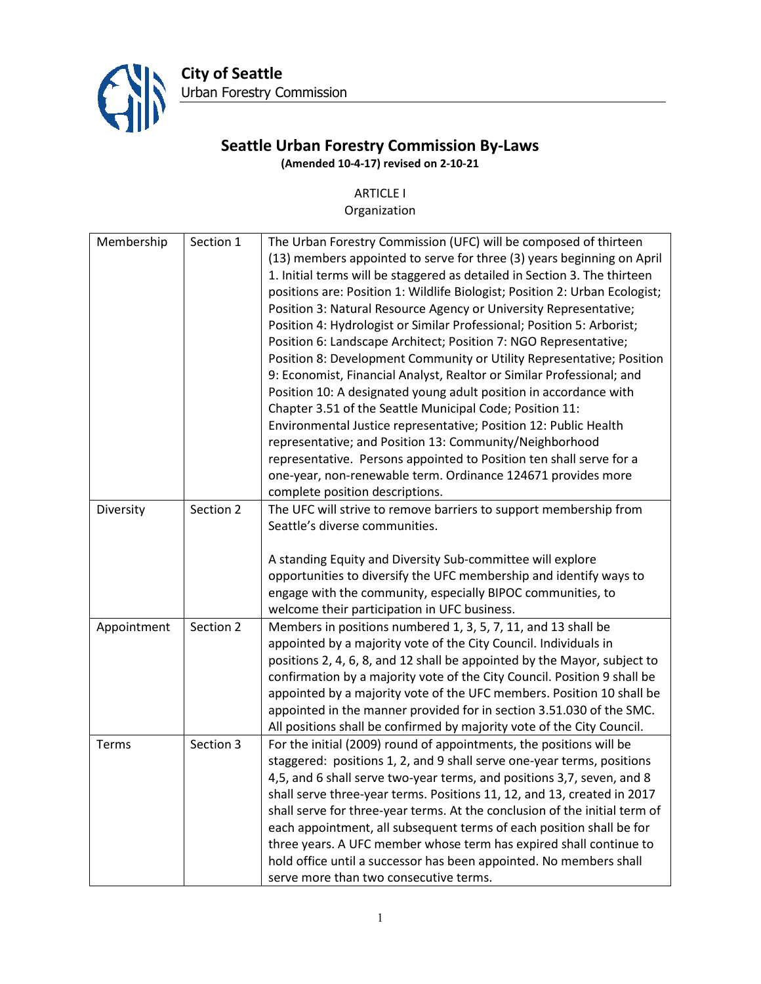

**City of Seattle** Urban Forestry Commission

# **Seattle Urban Forestry Commission By-Laws (Amended 10-4-17) revised on 2-10-21**

# ARTICLE I

#### Organization

|             | Section 1 |                                                                             |
|-------------|-----------|-----------------------------------------------------------------------------|
| Membership  |           | The Urban Forestry Commission (UFC) will be composed of thirteen            |
|             |           | (13) members appointed to serve for three (3) years beginning on April      |
|             |           | 1. Initial terms will be staggered as detailed in Section 3. The thirteen   |
|             |           | positions are: Position 1: Wildlife Biologist; Position 2: Urban Ecologist; |
|             |           | Position 3: Natural Resource Agency or University Representative;           |
|             |           | Position 4: Hydrologist or Similar Professional; Position 5: Arborist;      |
|             |           | Position 6: Landscape Architect; Position 7: NGO Representative;            |
|             |           | Position 8: Development Community or Utility Representative; Position       |
|             |           | 9: Economist, Financial Analyst, Realtor or Similar Professional; and       |
|             |           | Position 10: A designated young adult position in accordance with           |
|             |           | Chapter 3.51 of the Seattle Municipal Code; Position 11:                    |
|             |           | Environmental Justice representative; Position 12: Public Health            |
|             |           | representative; and Position 13: Community/Neighborhood                     |
|             |           | representative. Persons appointed to Position ten shall serve for a         |
|             |           | one-year, non-renewable term. Ordinance 124671 provides more                |
|             |           | complete position descriptions.                                             |
| Diversity   | Section 2 | The UFC will strive to remove barriers to support membership from           |
|             |           | Seattle's diverse communities.                                              |
|             |           |                                                                             |
|             |           | A standing Equity and Diversity Sub-committee will explore                  |
|             |           | opportunities to diversify the UFC membership and identify ways to          |
|             |           | engage with the community, especially BIPOC communities, to                 |
|             |           | welcome their participation in UFC business.                                |
| Appointment | Section 2 | Members in positions numbered 1, 3, 5, 7, 11, and 13 shall be               |
|             |           | appointed by a majority vote of the City Council. Individuals in            |
|             |           | positions 2, 4, 6, 8, and 12 shall be appointed by the Mayor, subject to    |
|             |           | confirmation by a majority vote of the City Council. Position 9 shall be    |
|             |           | appointed by a majority vote of the UFC members. Position 10 shall be       |
|             |           | appointed in the manner provided for in section 3.51.030 of the SMC.        |
|             |           | All positions shall be confirmed by majority vote of the City Council.      |
| Terms       | Section 3 | For the initial (2009) round of appointments, the positions will be         |
|             |           | staggered: positions 1, 2, and 9 shall serve one-year terms, positions      |
|             |           | 4,5, and 6 shall serve two-year terms, and positions 3,7, seven, and 8      |
|             |           | shall serve three-year terms. Positions 11, 12, and 13, created in 2017     |
|             |           | shall serve for three-year terms. At the conclusion of the initial term of  |
|             |           | each appointment, all subsequent terms of each position shall be for        |
|             |           |                                                                             |
|             |           | three years. A UFC member whose term has expired shall continue to          |
|             |           | hold office until a successor has been appointed. No members shall          |
|             |           | serve more than two consecutive terms.                                      |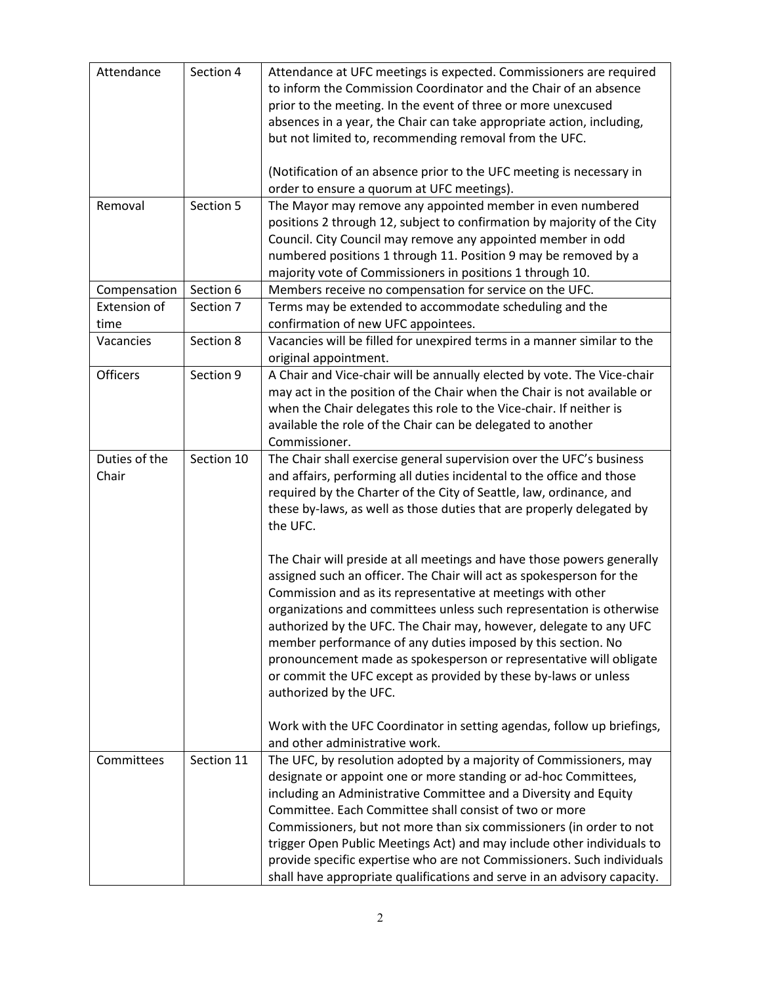| Attendance                  | Section 4  | Attendance at UFC meetings is expected. Commissioners are required<br>to inform the Commission Coordinator and the Chair of an absence<br>prior to the meeting. In the event of three or more unexcused<br>absences in a year, the Chair can take appropriate action, including,<br>but not limited to, recommending removal from the UFC.<br>(Notification of an absence prior to the UFC meeting is necessary in<br>order to ensure a quorum at UFC meetings).                                                                                                                               |
|-----------------------------|------------|------------------------------------------------------------------------------------------------------------------------------------------------------------------------------------------------------------------------------------------------------------------------------------------------------------------------------------------------------------------------------------------------------------------------------------------------------------------------------------------------------------------------------------------------------------------------------------------------|
| Removal                     | Section 5  | The Mayor may remove any appointed member in even numbered<br>positions 2 through 12, subject to confirmation by majority of the City<br>Council. City Council may remove any appointed member in odd<br>numbered positions 1 through 11. Position 9 may be removed by a<br>majority vote of Commissioners in positions 1 through 10.                                                                                                                                                                                                                                                          |
| Compensation                | Section 6  | Members receive no compensation for service on the UFC.                                                                                                                                                                                                                                                                                                                                                                                                                                                                                                                                        |
| <b>Extension of</b><br>time | Section 7  | Terms may be extended to accommodate scheduling and the<br>confirmation of new UFC appointees.                                                                                                                                                                                                                                                                                                                                                                                                                                                                                                 |
| Vacancies                   | Section 8  | Vacancies will be filled for unexpired terms in a manner similar to the<br>original appointment.                                                                                                                                                                                                                                                                                                                                                                                                                                                                                               |
| <b>Officers</b>             | Section 9  | A Chair and Vice-chair will be annually elected by vote. The Vice-chair<br>may act in the position of the Chair when the Chair is not available or<br>when the Chair delegates this role to the Vice-chair. If neither is<br>available the role of the Chair can be delegated to another<br>Commissioner.                                                                                                                                                                                                                                                                                      |
| Duties of the<br>Chair      | Section 10 | The Chair shall exercise general supervision over the UFC's business<br>and affairs, performing all duties incidental to the office and those<br>required by the Charter of the City of Seattle, law, ordinance, and<br>these by-laws, as well as those duties that are properly delegated by<br>the UFC.                                                                                                                                                                                                                                                                                      |
|                             |            | The Chair will preside at all meetings and have those powers generally<br>assigned such an officer. The Chair will act as spokesperson for the<br>Commission and as its representative at meetings with other<br>organizations and committees unless such representation is otherwise<br>authorized by the UFC. The Chair may, however, delegate to any UFC<br>member performance of any duties imposed by this section. No<br>pronouncement made as spokesperson or representative will obligate<br>or commit the UFC except as provided by these by-laws or unless<br>authorized by the UFC. |
|                             |            | Work with the UFC Coordinator in setting agendas, follow up briefings,<br>and other administrative work.                                                                                                                                                                                                                                                                                                                                                                                                                                                                                       |
| Committees                  | Section 11 | The UFC, by resolution adopted by a majority of Commissioners, may<br>designate or appoint one or more standing or ad-hoc Committees,<br>including an Administrative Committee and a Diversity and Equity<br>Committee. Each Committee shall consist of two or more<br>Commissioners, but not more than six commissioners (in order to not<br>trigger Open Public Meetings Act) and may include other individuals to<br>provide specific expertise who are not Commissioners. Such individuals<br>shall have appropriate qualifications and serve in an advisory capacity.                     |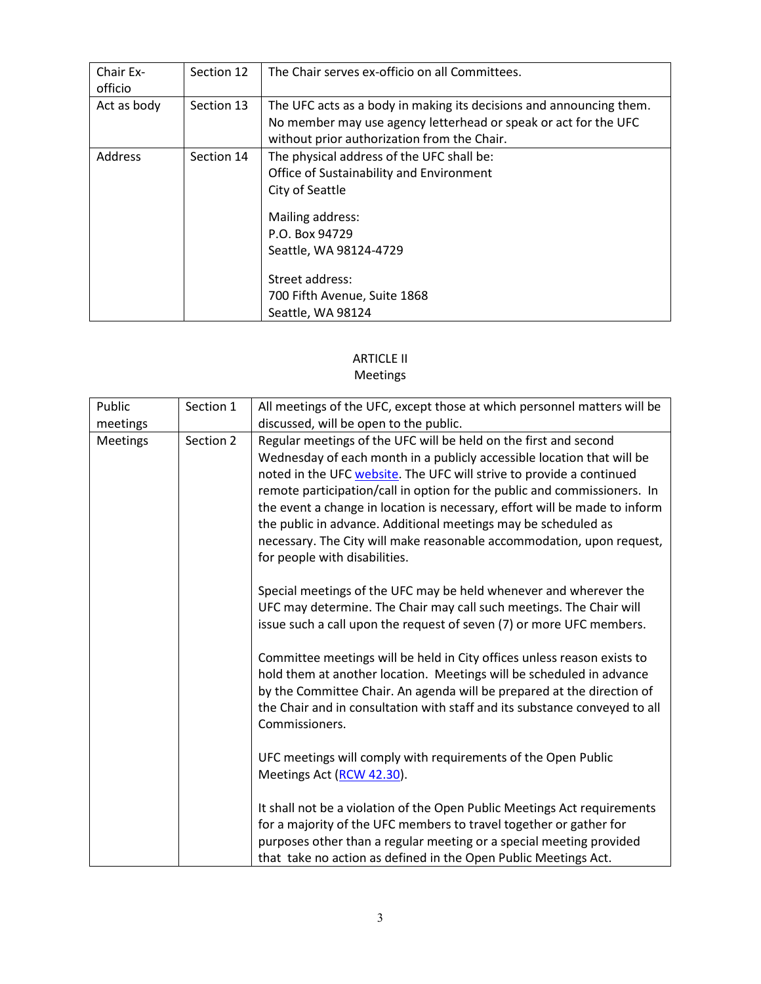| Chair Ex-<br>officio | Section 12 | The Chair serves ex-officio on all Committees.                      |
|----------------------|------------|---------------------------------------------------------------------|
| Act as body          | Section 13 | The UFC acts as a body in making its decisions and announcing them. |
|                      |            | No member may use agency letterhead or speak or act for the UFC     |
|                      |            | without prior authorization from the Chair.                         |
| Address              | Section 14 | The physical address of the UFC shall be:                           |
|                      |            | Office of Sustainability and Environment                            |
|                      |            | City of Seattle                                                     |
|                      |            | Mailing address:                                                    |
|                      |            | P.O. Box 94729                                                      |
|                      |            | Seattle, WA 98124-4729                                              |
|                      |            | Street address:                                                     |
|                      |            | 700 Fifth Avenue, Suite 1868                                        |
|                      |            | Seattle, WA 98124                                                   |

# ARTICLE II

#### Meetings

| Public   | Section 1 | All meetings of the UFC, except those at which personnel matters will be                                                                                                                                                                                                                                                                                                                                                                                                                                                                                 |
|----------|-----------|----------------------------------------------------------------------------------------------------------------------------------------------------------------------------------------------------------------------------------------------------------------------------------------------------------------------------------------------------------------------------------------------------------------------------------------------------------------------------------------------------------------------------------------------------------|
| meetings |           | discussed, will be open to the public.                                                                                                                                                                                                                                                                                                                                                                                                                                                                                                                   |
| Meetings | Section 2 | Regular meetings of the UFC will be held on the first and second<br>Wednesday of each month in a publicly accessible location that will be<br>noted in the UFC website. The UFC will strive to provide a continued<br>remote participation/call in option for the public and commissioners. In<br>the event a change in location is necessary, effort will be made to inform<br>the public in advance. Additional meetings may be scheduled as<br>necessary. The City will make reasonable accommodation, upon request,<br>for people with disabilities. |
|          |           | Special meetings of the UFC may be held whenever and wherever the<br>UFC may determine. The Chair may call such meetings. The Chair will<br>issue such a call upon the request of seven (7) or more UFC members.                                                                                                                                                                                                                                                                                                                                         |
|          |           | Committee meetings will be held in City offices unless reason exists to<br>hold them at another location. Meetings will be scheduled in advance<br>by the Committee Chair. An agenda will be prepared at the direction of<br>the Chair and in consultation with staff and its substance conveyed to all<br>Commissioners.                                                                                                                                                                                                                                |
|          |           | UFC meetings will comply with requirements of the Open Public<br>Meetings Act (RCW 42.30).                                                                                                                                                                                                                                                                                                                                                                                                                                                               |
|          |           | It shall not be a violation of the Open Public Meetings Act requirements<br>for a majority of the UFC members to travel together or gather for<br>purposes other than a regular meeting or a special meeting provided<br>that take no action as defined in the Open Public Meetings Act.                                                                                                                                                                                                                                                                 |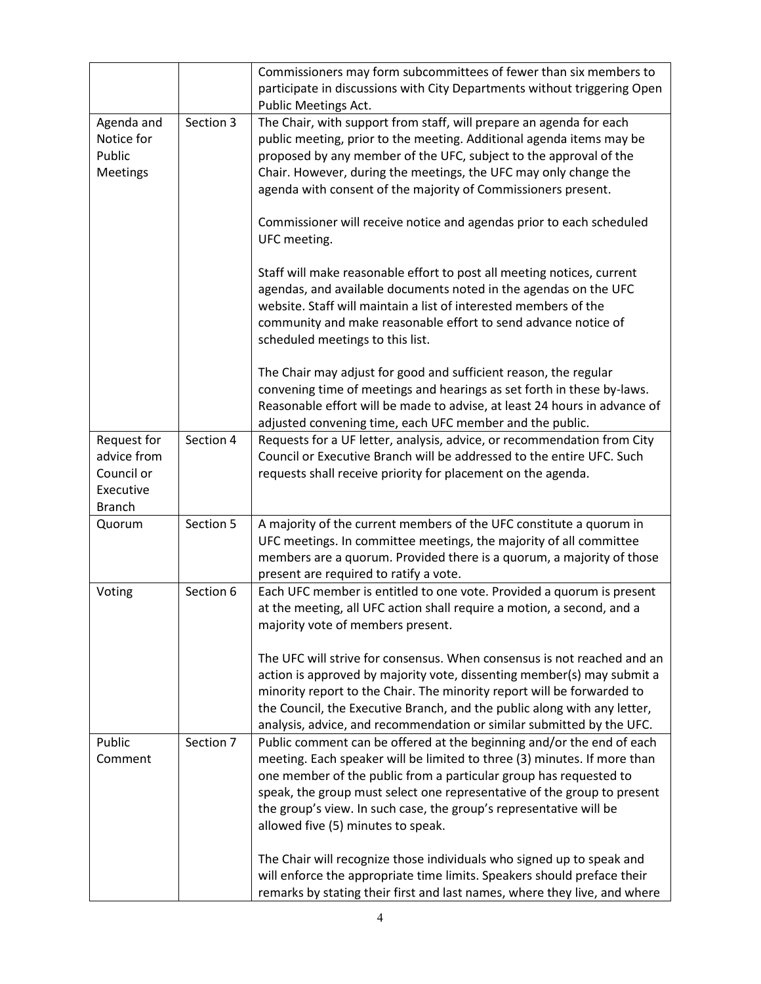|                                                                        |           | Commissioners may form subcommittees of fewer than six members to<br>participate in discussions with City Departments without triggering Open<br>Public Meetings Act.                                                                                                                                                                                                                                         |
|------------------------------------------------------------------------|-----------|---------------------------------------------------------------------------------------------------------------------------------------------------------------------------------------------------------------------------------------------------------------------------------------------------------------------------------------------------------------------------------------------------------------|
| Agenda and<br>Notice for<br>Public<br>Meetings                         | Section 3 | The Chair, with support from staff, will prepare an agenda for each<br>public meeting, prior to the meeting. Additional agenda items may be<br>proposed by any member of the UFC, subject to the approval of the<br>Chair. However, during the meetings, the UFC may only change the<br>agenda with consent of the majority of Commissioners present.                                                         |
|                                                                        |           | Commissioner will receive notice and agendas prior to each scheduled<br>UFC meeting.                                                                                                                                                                                                                                                                                                                          |
|                                                                        |           | Staff will make reasonable effort to post all meeting notices, current<br>agendas, and available documents noted in the agendas on the UFC<br>website. Staff will maintain a list of interested members of the<br>community and make reasonable effort to send advance notice of<br>scheduled meetings to this list.                                                                                          |
|                                                                        |           | The Chair may adjust for good and sufficient reason, the regular<br>convening time of meetings and hearings as set forth in these by-laws.<br>Reasonable effort will be made to advise, at least 24 hours in advance of<br>adjusted convening time, each UFC member and the public.                                                                                                                           |
| Request for<br>advice from<br>Council or<br>Executive<br><b>Branch</b> | Section 4 | Requests for a UF letter, analysis, advice, or recommendation from City<br>Council or Executive Branch will be addressed to the entire UFC. Such<br>requests shall receive priority for placement on the agenda.                                                                                                                                                                                              |
| Quorum                                                                 | Section 5 | A majority of the current members of the UFC constitute a quorum in<br>UFC meetings. In committee meetings, the majority of all committee<br>members are a quorum. Provided there is a quorum, a majority of those<br>present are required to ratify a vote.                                                                                                                                                  |
| Voting                                                                 | Section 6 | Each UFC member is entitled to one vote. Provided a quorum is present<br>at the meeting, all UFC action shall require a motion, a second, and a<br>majority vote of members present.                                                                                                                                                                                                                          |
|                                                                        |           | The UFC will strive for consensus. When consensus is not reached and an<br>action is approved by majority vote, dissenting member(s) may submit a<br>minority report to the Chair. The minority report will be forwarded to<br>the Council, the Executive Branch, and the public along with any letter,<br>analysis, advice, and recommendation or similar submitted by the UFC.                              |
| Public<br>Comment                                                      | Section 7 | Public comment can be offered at the beginning and/or the end of each<br>meeting. Each speaker will be limited to three (3) minutes. If more than<br>one member of the public from a particular group has requested to<br>speak, the group must select one representative of the group to present<br>the group's view. In such case, the group's representative will be<br>allowed five (5) minutes to speak. |
|                                                                        |           | The Chair will recognize those individuals who signed up to speak and<br>will enforce the appropriate time limits. Speakers should preface their<br>remarks by stating their first and last names, where they live, and where                                                                                                                                                                                 |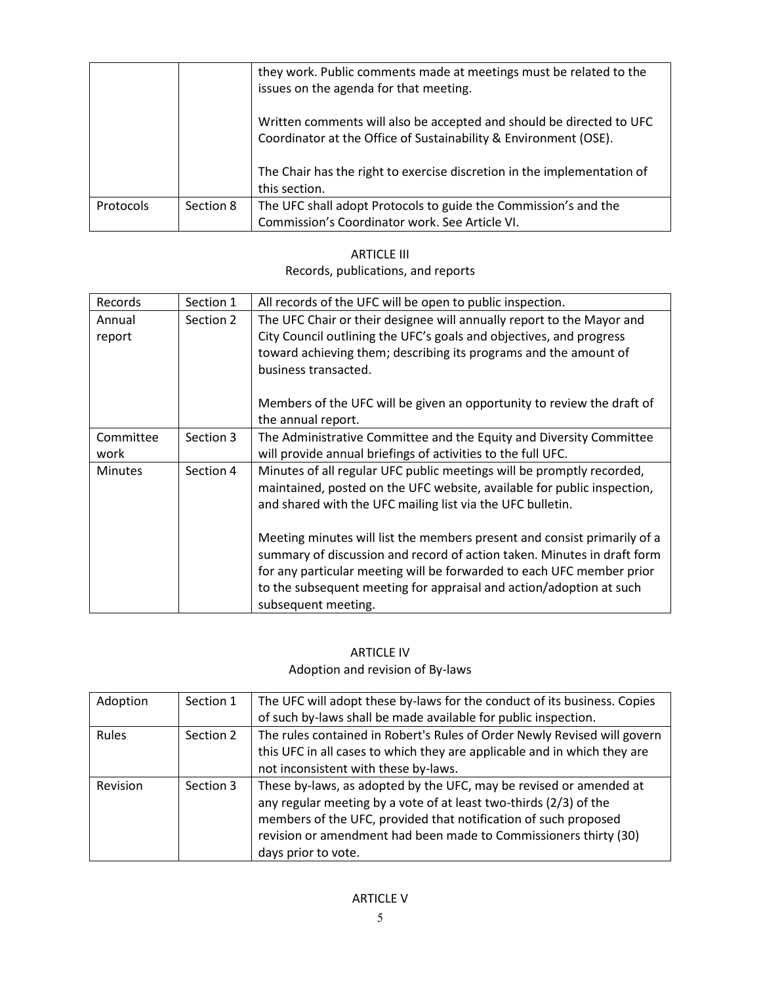|           |           | they work. Public comments made at meetings must be related to the<br>issues on the agenda for that meeting.                             |
|-----------|-----------|------------------------------------------------------------------------------------------------------------------------------------------|
|           |           | Written comments will also be accepted and should be directed to UFC<br>Coordinator at the Office of Sustainability & Environment (OSE). |
|           |           | The Chair has the right to exercise discretion in the implementation of<br>this section.                                                 |
| Protocols | Section 8 | The UFC shall adopt Protocols to guide the Commission's and the                                                                          |
|           |           | Commission's Coordinator work. See Article VI.                                                                                           |

### ARTICLE III Records, publications, and reports

| Records           | Section 1 | All records of the UFC will be open to public inspection.                                                                                                                                                                                                                                                                  |
|-------------------|-----------|----------------------------------------------------------------------------------------------------------------------------------------------------------------------------------------------------------------------------------------------------------------------------------------------------------------------------|
| Annual<br>report  | Section 2 | The UFC Chair or their designee will annually report to the Mayor and<br>City Council outlining the UFC's goals and objectives, and progress<br>toward achieving them; describing its programs and the amount of<br>business transacted.                                                                                   |
|                   |           | Members of the UFC will be given an opportunity to review the draft of<br>the annual report.                                                                                                                                                                                                                               |
| Committee<br>work | Section 3 | The Administrative Committee and the Equity and Diversity Committee<br>will provide annual briefings of activities to the full UFC.                                                                                                                                                                                        |
| <b>Minutes</b>    | Section 4 | Minutes of all regular UFC public meetings will be promptly recorded,<br>maintained, posted on the UFC website, available for public inspection,<br>and shared with the UFC mailing list via the UFC bulletin.                                                                                                             |
|                   |           | Meeting minutes will list the members present and consist primarily of a<br>summary of discussion and record of action taken. Minutes in draft form<br>for any particular meeting will be forwarded to each UFC member prior<br>to the subsequent meeting for appraisal and action/adoption at such<br>subsequent meeting. |

# ARTICLE IV Adoption and revision of By-laws

| Adoption | Section 1 | The UFC will adopt these by-laws for the conduct of its business. Copies                                                                                                                                                                                                                              |
|----------|-----------|-------------------------------------------------------------------------------------------------------------------------------------------------------------------------------------------------------------------------------------------------------------------------------------------------------|
|          |           | of such by-laws shall be made available for public inspection.                                                                                                                                                                                                                                        |
| Rules    | Section 2 | The rules contained in Robert's Rules of Order Newly Revised will govern                                                                                                                                                                                                                              |
|          |           | this UFC in all cases to which they are applicable and in which they are                                                                                                                                                                                                                              |
|          |           | not inconsistent with these by-laws.                                                                                                                                                                                                                                                                  |
| Revision | Section 3 | These by-laws, as adopted by the UFC, may be revised or amended at<br>any regular meeting by a vote of at least two-thirds (2/3) of the<br>members of the UFC, provided that notification of such proposed<br>revision or amendment had been made to Commissioners thirty (30)<br>days prior to vote. |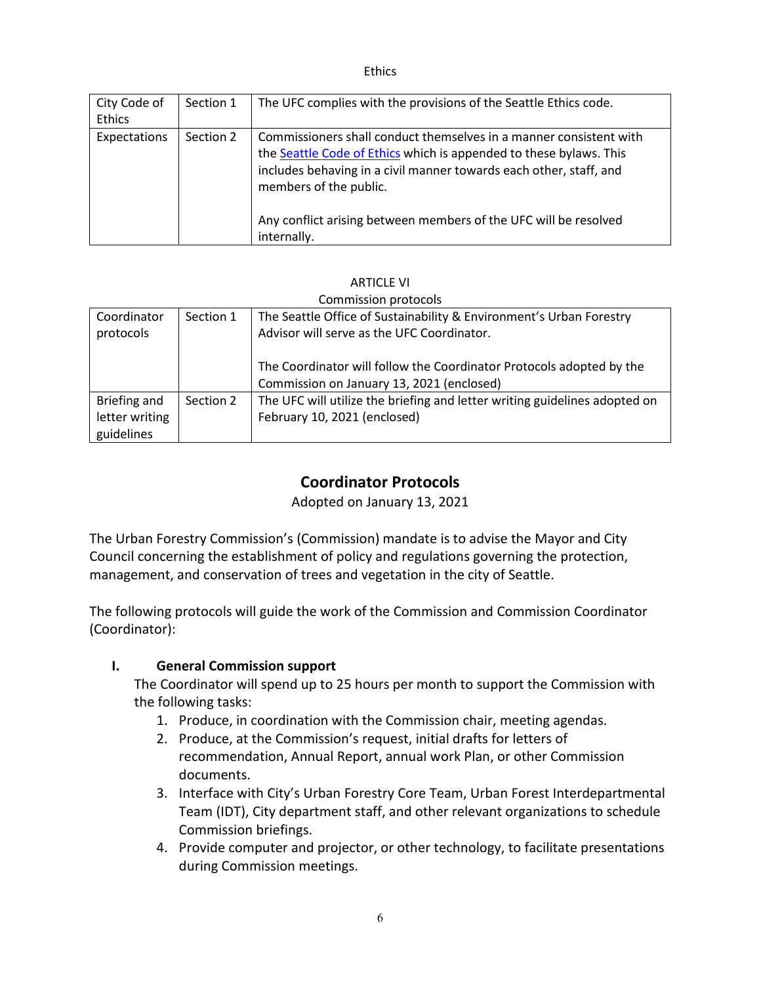Ethics

| City Code of<br>Ethics | Section 1 | The UFC complies with the provisions of the Seattle Ethics code.                                                                                                                                                                                                                                                            |
|------------------------|-----------|-----------------------------------------------------------------------------------------------------------------------------------------------------------------------------------------------------------------------------------------------------------------------------------------------------------------------------|
| Expectations           | Section 2 | Commissioners shall conduct themselves in a manner consistent with<br>the Seattle Code of Ethics which is appended to these bylaws. This<br>includes behaving in a civil manner towards each other, staff, and<br>members of the public.<br>Any conflict arising between members of the UFC will be resolved<br>internally. |

#### ARTICLE VI

|                |           | Commission protocols                                                                                              |
|----------------|-----------|-------------------------------------------------------------------------------------------------------------------|
| Coordinator    | Section 1 | The Seattle Office of Sustainability & Environment's Urban Forestry                                               |
| protocols      |           | Advisor will serve as the UFC Coordinator.                                                                        |
|                |           | The Coordinator will follow the Coordinator Protocols adopted by the<br>Commission on January 13, 2021 (enclosed) |
| Briefing and   | Section 2 | The UFC will utilize the briefing and letter writing guidelines adopted on                                        |
| letter writing |           | February 10, 2021 (enclosed)                                                                                      |
| guidelines     |           |                                                                                                                   |

# **Coordinator Protocols**

Adopted on January 13, 2021

The Urban Forestry Commission's (Commission) mandate is to advise the Mayor and City Council concerning the establishment of policy and regulations governing the protection, management, and conservation of trees and vegetation in the city of Seattle.

The following protocols will guide the work of the Commission and Commission Coordinator (Coordinator):

### **I. General Commission support**

The Coordinator will spend up to 25 hours per month to support the Commission with the following tasks:

- 1. Produce, in coordination with the Commission chair, meeting agendas.
- 2. Produce, at the Commission's request, initial drafts for letters of recommendation, Annual Report, annual work Plan, or other Commission documents.
- 3. Interface with City's Urban Forestry Core Team, Urban Forest Interdepartmental Team (IDT), City department staff, and other relevant organizations to schedule Commission briefings.
- 4. Provide computer and projector, or other technology, to facilitate presentations during Commission meetings.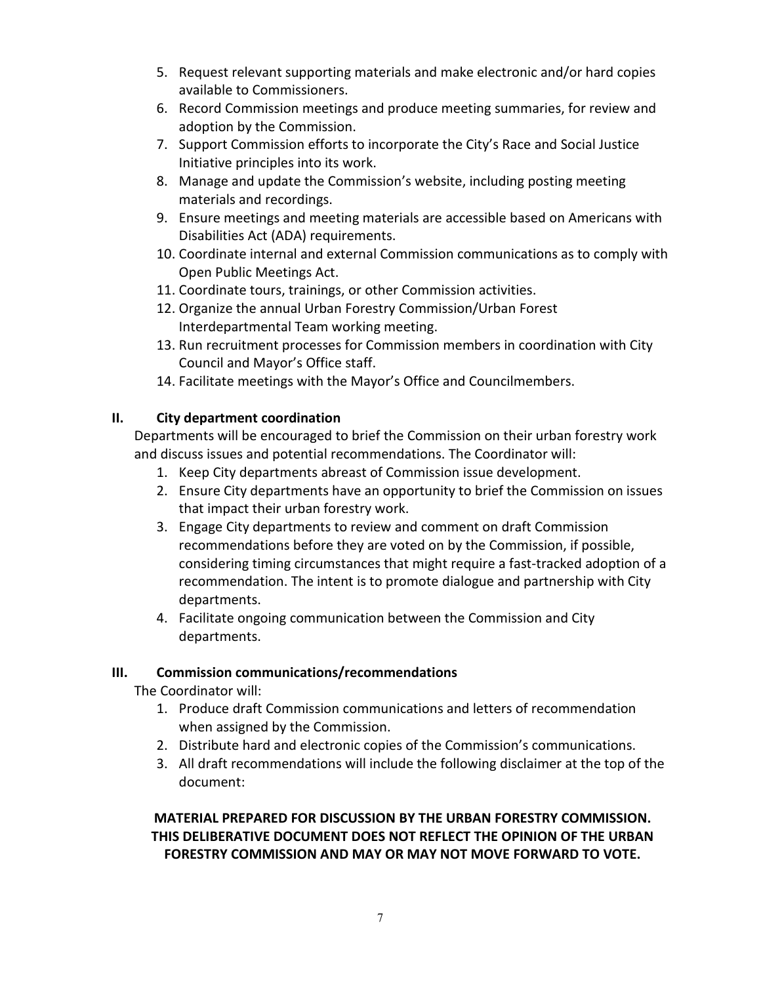- 5. Request relevant supporting materials and make electronic and/or hard copies available to Commissioners.
- 6. Record Commission meetings and produce meeting summaries, for review and adoption by the Commission.
- 7. Support Commission efforts to incorporate the City's Race and Social Justice Initiative principles into its work.
- 8. Manage and update the Commission's website, including posting meeting materials and recordings.
- 9. Ensure meetings and meeting materials are accessible based on Americans with Disabilities Act (ADA) requirements.
- 10. Coordinate internal and external Commission communications as to comply with Open Public Meetings Act.
- 11. Coordinate tours, trainings, or other Commission activities.
- 12. Organize the annual Urban Forestry Commission/Urban Forest Interdepartmental Team working meeting.
- 13. Run recruitment processes for Commission members in coordination with City Council and Mayor's Office staff.
- 14. Facilitate meetings with the Mayor's Office and Councilmembers.

# **II. City department coordination**

Departments will be encouraged to brief the Commission on their urban forestry work and discuss issues and potential recommendations. The Coordinator will:

- 1. Keep City departments abreast of Commission issue development.
- 2. Ensure City departments have an opportunity to brief the Commission on issues that impact their urban forestry work.
- 3. Engage City departments to review and comment on draft Commission recommendations before they are voted on by the Commission, if possible, considering timing circumstances that might require a fast-tracked adoption of a recommendation. The intent is to promote dialogue and partnership with City departments.
- 4. Facilitate ongoing communication between the Commission and City departments.

# **III. Commission communications/recommendations**

The Coordinator will:

- 1. Produce draft Commission communications and letters of recommendation when assigned by the Commission.
- 2. Distribute hard and electronic copies of the Commission's communications.
- 3. All draft recommendations will include the following disclaimer at the top of the document:

# **MATERIAL PREPARED FOR DISCUSSION BY THE URBAN FORESTRY COMMISSION. THIS DELIBERATIVE DOCUMENT DOES NOT REFLECT THE OPINION OF THE URBAN FORESTRY COMMISSION AND MAY OR MAY NOT MOVE FORWARD TO VOTE.**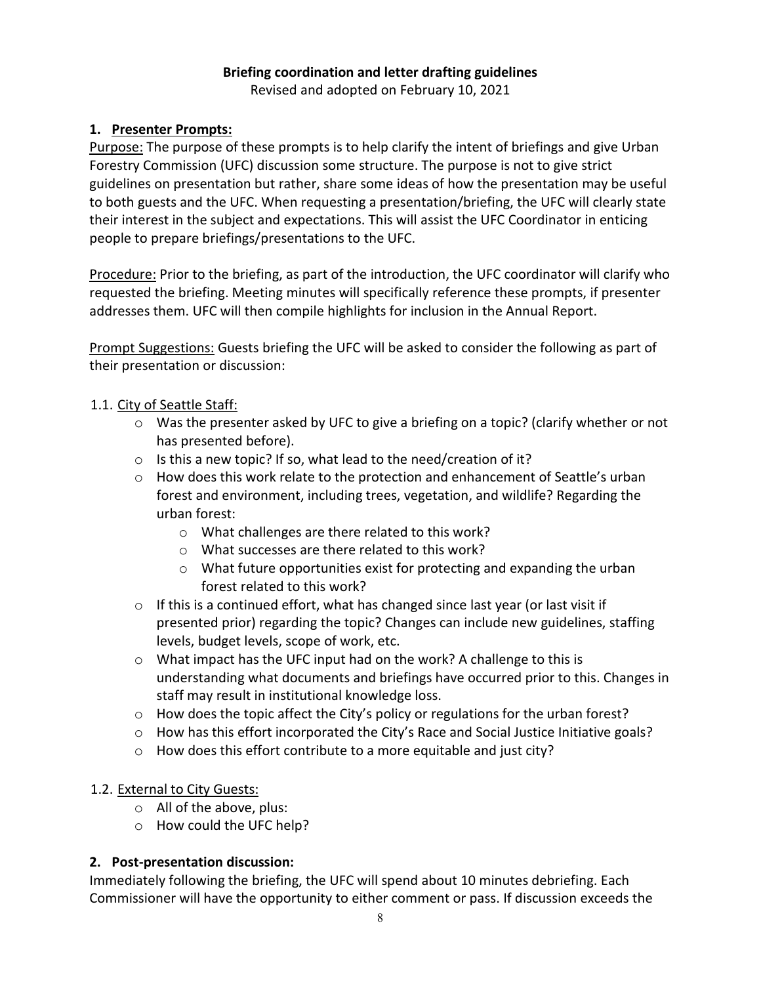#### **Briefing coordination and letter drafting guidelines** Revised and adopted on February 10, 2021

# **1. Presenter Prompts:**

Purpose: The purpose of these prompts is to help clarify the intent of briefings and give Urban Forestry Commission (UFC) discussion some structure. The purpose is not to give strict guidelines on presentation but rather, share some ideas of how the presentation may be useful to both guests and the UFC. When requesting a presentation/briefing, the UFC will clearly state their interest in the subject and expectations. This will assist the UFC Coordinator in enticing people to prepare briefings/presentations to the UFC.

Procedure: Prior to the briefing, as part of the introduction, the UFC coordinator will clarify who requested the briefing. Meeting minutes will specifically reference these prompts, if presenter addresses them. UFC will then compile highlights for inclusion in the Annual Report.

Prompt Suggestions: Guests briefing the UFC will be asked to consider the following as part of their presentation or discussion:

# 1.1. City of Seattle Staff:

- o Was the presenter asked by UFC to give a briefing on a topic? (clarify whether or not has presented before).
- o Is this a new topic? If so, what lead to the need/creation of it?
- $\circ$  How does this work relate to the protection and enhancement of Seattle's urban forest and environment, including trees, vegetation, and wildlife? Regarding the urban forest:
	- o What challenges are there related to this work?
	- o What successes are there related to this work?
	- o What future opportunities exist for protecting and expanding the urban forest related to this work?
- o If this is a continued effort, what has changed since last year (or last visit if presented prior) regarding the topic? Changes can include new guidelines, staffing levels, budget levels, scope of work, etc.
- o What impact has the UFC input had on the work? A challenge to this is understanding what documents and briefings have occurred prior to this. Changes in staff may result in institutional knowledge loss.
- $\circ$  How does the topic affect the City's policy or regulations for the urban forest?
- $\circ$  How has this effort incorporated the City's Race and Social Justice Initiative goals?
- o How does this effort contribute to a more equitable and just city?

# 1.2. External to City Guests:

- o All of the above, plus:
- o How could the UFC help?

### **2. Post-presentation discussion:**

Immediately following the briefing, the UFC will spend about 10 minutes debriefing. Each Commissioner will have the opportunity to either comment or pass. If discussion exceeds the